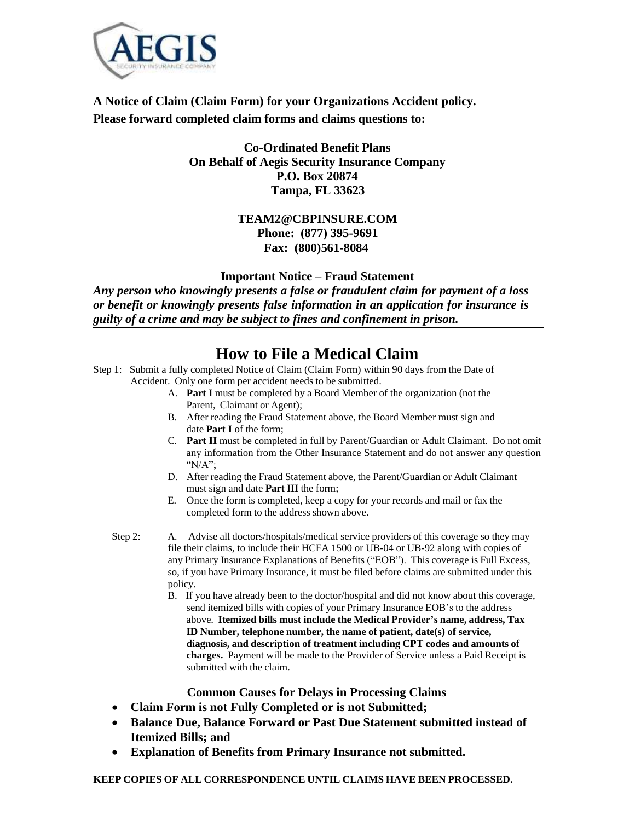

**A Notice of Claim (Claim Form) for your Organizations Accident policy. Please forward completed claim forms and claims questions to:**

### **Co-Ordinated Benefit Plans On Behalf of Aegis Security Insurance Company P.O. Box 20874 Tampa, FL 33623**

## **Fax: (800)561-8084 [TEAM2@CBPINSURE.COM](mailto:TEAM2@CBPINSURE.COM) Phone: (877) 395-9691**

**Important Notice – Fraud Statement**

*Any person who knowingly presents a false or fraudulent claim for payment of a loss or benefit or knowingly presents false information in an application for insurance is guilty of a crime and may be subject to fines and confinement in prison.*

# **How to File a Medical Claim**

- Step 1: Submit a fully completed Notice of Claim (Claim Form) within 90 days from the Date of Accident. Only one form per accident needs to be submitted.
	- A. **Part I** must be completed by a Board Member of the organization (not the Parent, Claimant or Agent);
	- B. After reading the Fraud Statement above, the Board Member must sign and date **Part I** of the form;
	- C. **Part II** must be completed in full by Parent/Guardian or Adult Claimant. Do not omit any information from the Other Insurance Statement and do not answer any question "N/A";
	- D. After reading the Fraud Statement above, the Parent/Guardian or Adult Claimant must sign and date **Part III** the form;
	- E. Once the form is completed, keep a copy for your records and mail or fax the completed form to the address shown above.
	- Step 2: A. Advise all doctors/hospitals/medical service providers of this coverage so they may file their claims, to include their HCFA 1500 or UB-04 or UB-92 along with copies of any Primary Insurance Explanations of Benefits ("EOB"). This coverage is Full Excess, so, if you have Primary Insurance, it must be filed before claims are submitted under this policy.
		- B. If you have already been to the doctor/hospital and did not know about this coverage, send itemized bills with copies of your Primary Insurance EOB's to the address above. **Itemized bills must include the Medical Provider's name, address, Tax ID Number, telephone number, the name of patient, date(s) of service, diagnosis, and description of treatment including CPT codes and amounts of charges.** Payment will be made to the Provider of Service unless a Paid Receipt is submitted with the claim.

#### **Common Causes for Delays in Processing Claims**

- **Claim Form is not Fully Completed or is not Submitted;**
- **Balance Due, Balance Forward or Past Due Statement submitted instead of Itemized Bills; and**
- **Explanation of Benefits from Primary Insurance not submitted.**